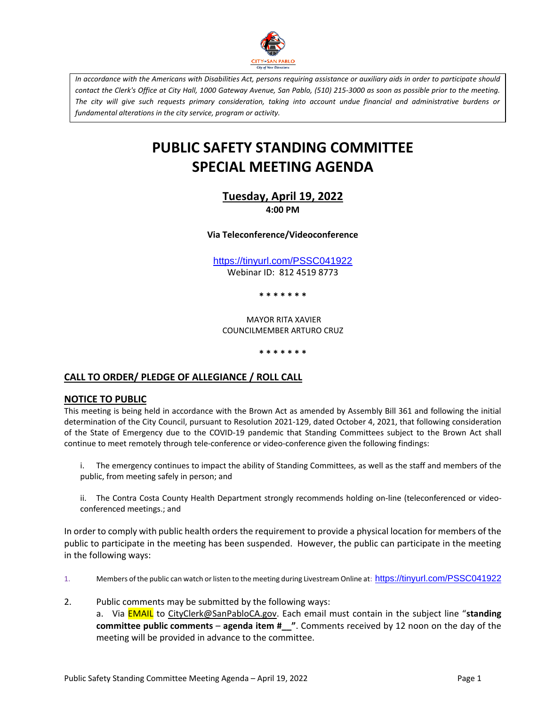

*In accordance with the Americans with Disabilities Act, persons requiring assistance or auxiliary aids in order to participate should contact the Clerk's Office at City Hall, 1000 Gateway Avenue, San Pablo, (510) 215-3000 as soon as possible prior to the meeting. The city will give such requests primary consideration, taking into account undue financial and administrative burdens or fundamental alterations in the city service, program or activity.*

# **PUBLIC SAFETY STANDING COMMITTEE SPECIAL MEETING AGENDA**

**Tuesday, April 19, 2022 4:00 PM**

**Via Teleconference/Videoconference**

<https://tinyurl.com/PSSC041922> Webinar ID: 812 4519 8773

**\* \* \* \* \* \* \***

MAYOR RITA XAVIER COUNCILMEMBER ARTURO CRUZ

#### **\* \* \* \* \* \* \***

# **CALL TO ORDER/ PLEDGE OF ALLEGIANCE / ROLL CALL**

#### **NOTICE TO PUBLIC**

This meeting is being held in accordance with the Brown Act as amended by Assembly Bill 361 and following the initial determination of the City Council, pursuant to Resolution 2021-129, dated October 4, 2021, that following consideration of the State of Emergency due to the COVID-19 pandemic that Standing Committees subject to the Brown Act shall continue to meet remotely through tele-conference or video-conference given the following findings:

i. The emergency continues to impact the ability of Standing Committees, as well as the staff and members of the public, from meeting safely in person; and

ii. The Contra Costa County Health Department strongly recommends holding on-line (teleconferenced or videoconferenced meetings.; and

In order to comply with public health orders the requirement to provide a physical location for members of the public to participate in the meeting has been suspended. However, the public can participate in the meeting in the following ways:

- 1. Members of the public can watch or listen to the meeting during Livestream Online at: <https://tinyurl.com/PSSC041922>
- 2. Public comments may be submitted by the following ways: a. Via EMAIL to [CityClerk@SanPabloCA.gov](mailto:CityClerk@SanPabloCA.gov). Each email must contain in the subject line "**standing committee public comments** – **agenda item #\_\_"**. Comments received by 12 noon on the day of the meeting will be provided in advance to the committee.